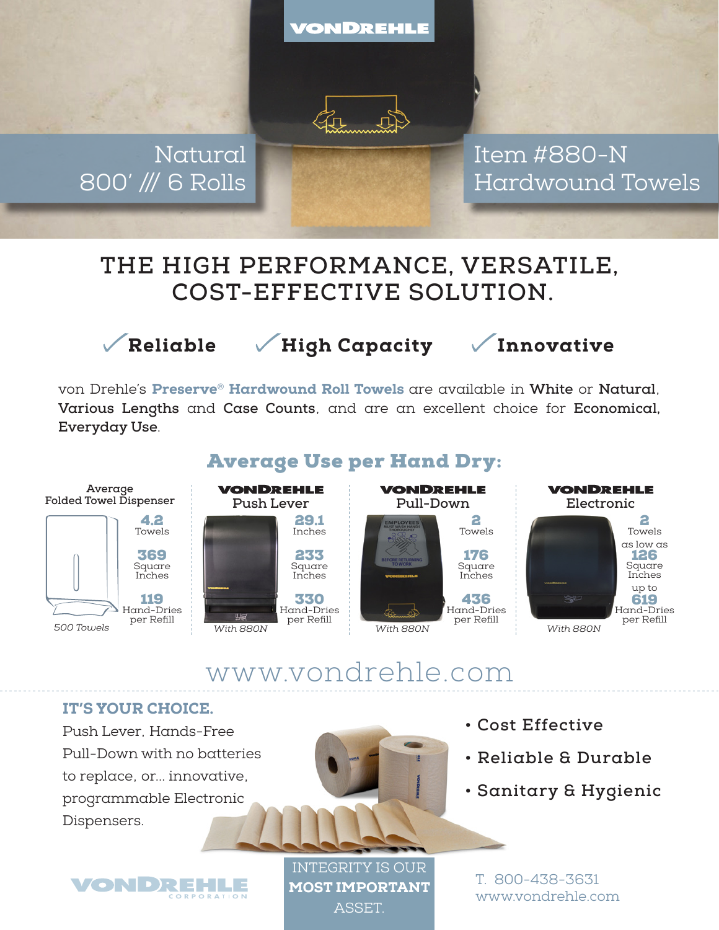VONDREHLE



Natural 800' /// 6 Rolls Item #880-N Hardwound Towels

# **THE HIGH PERFORMANCE, VERSATILE, COST-EFFECTIVE SOLUTION.**



Reliable / High Capacity / Innovative

von Drehle's Preserve® Hardwound Roll Towels are available in **White** or **Natural**, **Various Lengths** and **Case Counts**, and are an excellent choice for **Economical, Everyday Use**.



### Average Use per Hand Dry:

# www.vondrehle.com

#### IT'S YOUR CHOICE.

Push Lever, Hands-Free Pull-Down with no batteries to replace, or... innovative, programmable Electronic Dispensers.

VONDREHLE



- **Cost Effective**
- **Reliable & Durable**
- **Sanitary & Hygienic**

INTEGRITY IS OUR MOST IMPORTANT **ASSET** 

T. 800-438-3631 www.vondrehle.com